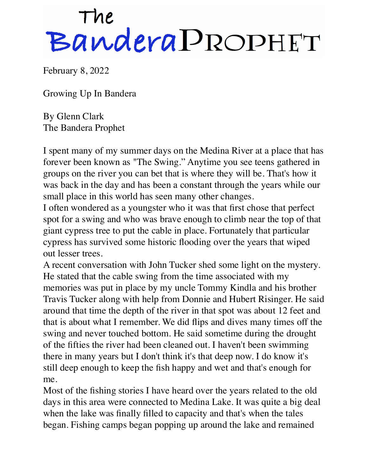## The<br>Bandera PROPHET

February 8, 2022

Growing Up In Bandera

By Glenn Clark The Bandera Prophet

I spent many of my summer days on the Medina River at a place that has forever been known as "The Swing." Anytime you see teens gathered in groups on the river you can bet that is where they will be. That's how it was back in the day and has been a constant through the years while our small place in this world has seen many other changes.

I often wondered as a youngster who it was that first chose that perfect spot for a swing and who was brave enough to climb near the top of that giant cypress tree to put the cable in place. Fortunately that particular cypress has survived some historic flooding over the years that wiped out lesser trees.

A recent conversation with John Tucker shed some light on the mystery. He stated that the cable swing from the time associated with my memories was put in place by my uncle Tommy Kindla and his brother Travis Tucker along with help from Donnie and Hubert Risinger. He said around that time the depth of the river in that spot was about 12 feet and that is about what I remember. We did flips and dives many times off the swing and never touched bottom. He said sometime during the drought of the fifties the river had been cleaned out. I haven't been swimming there in many years but I don't think it's that deep now. I do know it's still deep enough to keep the fish happy and wet and that's enough for me.

Most of the fishing stories I have heard over the years related to the old days in this area were connected to Medina Lake. It was quite a big deal when the lake was finally filled to capacity and that's when the tales began. Fishing camps began popping up around the lake and remained